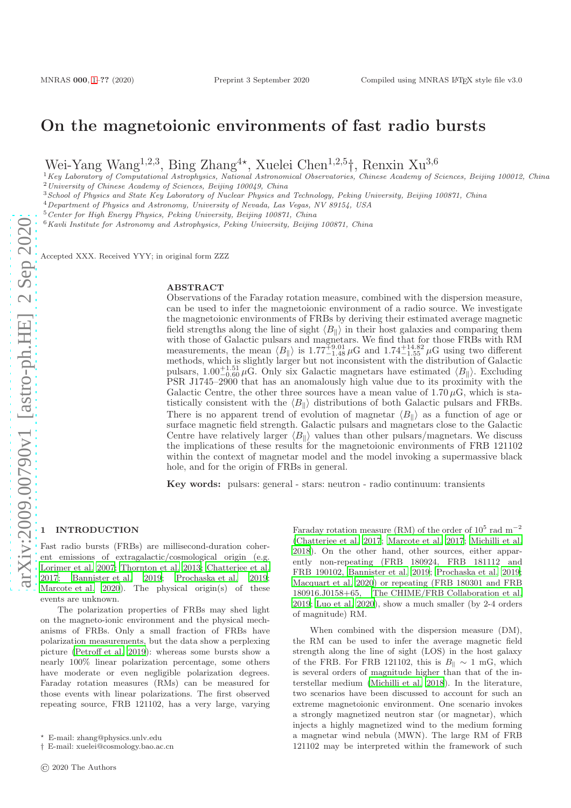# On the magnetoionic environments of fast radio bursts

Wei-Yang Wang<sup>1,2,3</sup>, Bing Zhang<sup>4\*</sup>, Xuelei Chen<sup>1,2,5</sup>†, Renxin Xu<sup>3,6</sup>

 ${}^{1}$ Key Laboratory of Computational Astrophysics, National Astronomical Observatories, Chinese Academy of Sciences, Beijing 100012, China <sup>2</sup>University of Chinese Academy of Sciences, Beijing 100049, China

<sup>3</sup>School of Physics and State Key Laboratory of Nuclear Physics and Technology, Peking University, Beijing 100871, China

<sup>4</sup>Department of Physics and Astronomy, University of Nevada, Las Vegas, NV 89154, USA

<sup>5</sup>Center for High Energy Physics, Peking University, Beijing 100871, China

 $6$ Kavli Institute for Astronomy and Astrophysics, Peking University, Beijing 100871, China

Accepted XXX. Received YYY; in original form ZZZ

#### ABSTRACT

Observations of the Faraday rotation measure, combined with the dispersion measure, can be used to infer the magnetoionic environment of a radio source. We investigate the magnetoionic environments of FRBs by deriving their estimated average magnetic field strengths along the line of sight  $\langle B_{\parallel} \rangle$  in their host galaxies and comparing them with those of Galactic pulsars and magnetars. We find that for those FRBs with RM measurements, the mean  $\langle B_{\parallel} \rangle$  is 1.77<sup>+9.01</sup> and 1.74<sup>+14.82</sup>  $\mu$ G using two different methods, which is slightly larger but not inconsistent with the distribution of Galactic pulsars,  $1.00^{+1.51}_{-0.60}$   $\mu$ G. Only six Galactic magnetars have estimated  $\langle B_{\parallel} \rangle$ . Excluding PSR J1745–2900 that has an anomalously high value due to its proximity with the Galactic Centre, the other three sources have a mean value of  $1.70 \,\mu$ G, which is statistically consistent with the  $\langle B_\parallel \rangle$  distributions of both Galactic pulsars and FRBs. There is no apparent trend of evolution of magnetar  $\langle B_{\parallel} \rangle$  as a function of age or surface magnetic field strength. Galactic pulsars and magnetars close to the Galactic Centre have relatively larger  $\langle B_{\parallel} \rangle$  values than other pulsars/magnetars. We discuss the implications of these results for the magnetoionic environments of FRB 121102 within the context of magnetar model and the model invoking a supermassive black hole, and for the origin of FRBs in general.

Key words: pulsars: general - stars: neutron - radio continuum: transients

#### <span id="page-0-0"></span>**INTRODUCTION**

Fast radio bursts (FRBs) are millisecond-duration coherent emissions of extragalactic/cosmological origin (e.g. [Lorimer et al. 2007](#page-6-0); [Thornton et al. 2013](#page-7-0); [Chatterjee et al.](#page-6-1) [2017](#page-6-1); [Bannister et al. 2019](#page-6-2); [Prochaska et al. 2019;](#page-7-1) [Marcote et al. 2020](#page-6-3)). The physical origin(s) of these events are unknown.

The polarization properties of FRBs may shed light on the magneto-ionic environment and the physical mechanisms of FRBs. Only a small fraction of FRBs have polarization measurements, but the data show a perplexing picture [\(Petroff et al. 2019\)](#page-7-2): whereas some bursts show a nearly 100% linear polarization percentage, some others have moderate or even negligible polarization degrees. Faraday rotation measures (RMs) can be measured for those events with linear polarizations. The first observed repeating source, FRB 121102, has a very large, varying

Faraday rotation measure (RM) of the order of  $10^5$  rad m<sup>-2</sup> [\(Chatterjee et al. 2017](#page-6-1); [Marcote et al. 2017](#page-6-4); [Michilli et al.](#page-7-3) [2018](#page-7-3)). On the other hand, other sources, either apparently non-repeating (FRB 180924, FRB 181112 and FRB 190102, [Bannister et al. 2019;](#page-6-2) [Prochaska et al. 2019;](#page-7-1) [Macquart et al. 2020](#page-6-5)) or repeating (FRB 180301 and FRB 180916.J0158+65, [The CHIME/FRB Collaboration et al.](#page-7-4) [2019](#page-7-4); [Luo et al. 2020](#page-6-6)), show a much smaller (by 2-4 orders of magnitude) RM.

When combined with the dispersion measure (DM), the RM can be used to infer the average magnetic field strength along the line of sight (LOS) in the host galaxy of the FRB. For FRB 121102, this is  $B_{\parallel} \sim 1 \text{ mG}$ , which is several orders of magnitude higher than that of the interstellar medium [\(Michilli et al. 2018\)](#page-7-3). In the literature, two scenarios have been discussed to account for such an extreme magnetoionic environment. One scenario invokes a strongly magnetized neutron star (or magnetar), which injects a highly magnetized wind to the medium forming a magnetar wind nebula (MWN). The large RM of FRB 121102 may be interpreted within the framework of such

<sup>⋆</sup> E-mail: zhang@physics.unlv.edu

<sup>†</sup> E-mail: xuelei@cosmology.bao.ac.cn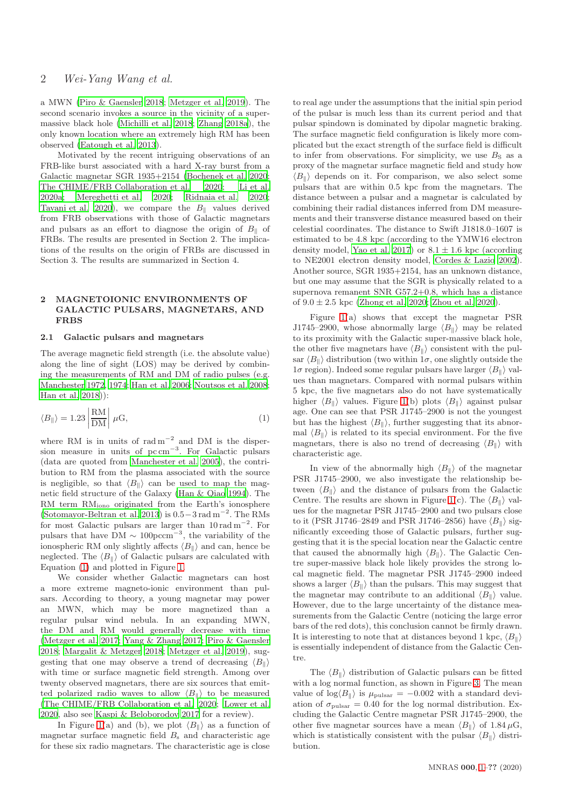a MWN [\(Piro & Gaensler 2018](#page-7-5); [Metzger et al. 2019](#page-7-6)). The second scenario invokes a source in the vicinity of a supermassive black hole [\(Michilli et al. 2018;](#page-7-3) [Zhang 2018a](#page-7-7)), the only known location where an extremely high RM has been observed [\(Eatough et al. 2013](#page-6-7)).

Motivated by the recent intriguing observations of an FRB-like burst associated with a hard X-ray burst from a Galactic magnetar SGR 1935+2154 [\(Bochenek et al. 2020;](#page-6-8) [The CHIME/FRB Collaboration et al. 2020](#page-6-9); [Li et al.](#page-6-10) [2020a](#page-6-10); [Mereghetti et al. 2020](#page-6-11); [Ridnaia et al. 2020;](#page-7-8) [Tavani et al. 2020\)](#page-7-9), we compare the  $B_{\parallel}$  values derived from FRB observations with those of Galactic magnetars and pulsars as an effort to diagnose the origin of  $B_{\parallel}$  of FRBs. The results are presented in Section 2. The implications of the results on the origin of FRBs are discussed in Section 3. The results are summarized in Section 4.

#### 2 MAGNETOIONIC ENVIRONMENTS OF GALACTIC PULSARS, MAGNETARS, AND FRBS

#### 2.1 Galactic pulsars and magnetars

The average magnetic field strength (i.e. the absolute value) along the line of sight (LOS) may be derived by combining the measurements of RM and DM of radio pulses (e.g. [Manchester 1972,](#page-6-12) [1974](#page-6-13); [Han et al. 2006;](#page-6-14) [Noutsos et al. 2008;](#page-7-10) [Han et al. 2018\)](#page-6-15)):

<span id="page-1-0"></span>
$$
\langle B_{\parallel} \rangle = 1.23 \left| \frac{\text{RM}}{\text{DM}} \right| \,\mu\text{G},\tag{1}
$$

where RM is in units of  $rad m^{-2}$  and DM is the dispersion measure in units of pc cm<sup>−</sup><sup>3</sup> . For Galactic pulsars (data are quoted from [Manchester et al. 2005](#page-6-16)), the contribution to RM from the plasma associated with the source is negligible, so that  $\langle B_{\parallel} \rangle$  can be used to map the magnetic field structure of the Galaxy [\(Han & Qiao 1994](#page-6-17)). The RM term RMiono originated from the Earth's ionosphere [\(Sotomayor-Beltran et al. 2013\)](#page-7-11) is  $0.5-3$  rad m<sup>-2</sup>. The RMs for most Galactic pulsars are larger than 10 rad m<sup>−</sup><sup>2</sup> . For pulsars that have  $DM \sim 100 \text{pc} \text{cm}^{-3}$ , the variability of the ionospheric RM only slightly affects  $\langle B_{\parallel} \rangle$  and can, hence be neglected. The  $\langle B_{\parallel} \rangle$  of Galactic pulsars are calculated with Equation [\(1\)](#page-1-0) and plotted in Figure [1.](#page-2-0)

We consider whether Galactic magnetars can host a more extreme magneto-ionic environment than pulsars. According to theory, a young magnetar may power an MWN, which may be more magnetized than a regular pulsar wind nebula. In an expanding MWN, the DM and RM would generally decrease with time [\(Metzger et al. 2017](#page-7-12); [Yang & Zhang 2017](#page-7-13); [Piro & Gaensler](#page-7-5) [2018](#page-7-5); [Margalit & Metzger 2018;](#page-6-18) [Metzger et al. 2019\)](#page-7-6), suggesting that one may observe a trend of decreasing  $\langle B_{\parallel} \rangle$ with time or surface magnetic field strength. Among over twenty observed magnetars, there are six sources that emitted polarized radio waves to allow  $\langle B_{\parallel} \rangle$  to be measured [\(The CHIME/FRB Collaboration et al. 2020](#page-6-9); [Lower et al.](#page-6-19) [2020](#page-6-19), also see [Kaspi & Beloborodov 2017](#page-6-20) for a review).

In Figure [1\(](#page-2-0)a) and (b), we plot  $\langle B_{\parallel} \rangle$  as a function of magnetar surface magnetic field  $B_s$  and characteristic age for these six radio magnetars. The characteristic age is close to real age under the assumptions that the initial spin period of the pulsar is much less than its current period and that pulsar spindown is dominated by dipolar magnetic braking. The surface magnetic field configuration is likely more complicated but the exact strength of the surface field is difficult to infer from observations. For simplicity, we use  $B<sub>S</sub>$  as a proxy of the magnetar surface magnetic field and study how  $\langle B_{\parallel} \rangle$  depends on it. For comparison, we also select some pulsars that are within 0.5 kpc from the magnetars. The distance between a pulsar and a magnetar is calculated by combining their radial distances inferred from DM measurements and their transverse distance measured based on their celestial coordinates. The distance to Swift J1818.0–1607 is estimated to be 4.8 kpc (according to the YMW16 electron density model, [Yao et al. 2017\)](#page-7-14) or  $8.1 \pm 1.6$  kpc (according to NE2001 electron density model, [Cordes & Lazio 2002](#page-6-21)). Another source, SGR 1935+2154, has an unknown distance, but one may assume that the SGR is physically related to a supernova remanent SNR G57.2+0.8, which has a distance of  $9.0 \pm 2.5$  kpc [\(Zhong et al. 2020](#page-7-15); [Zhou et al. 2020](#page-7-16)).

Figure [1\(](#page-2-0)a) shows that except the magnetar PSR J1745–2900, whose abnormally large  $\langle B_{\parallel} \rangle$  may be related to its proximity with the Galactic super-massive black hole, the other five magnetars have  $\langle B_{\parallel} \rangle$  consistent with the pulsar  $\langle B_{\parallel} \rangle$  distribution (two within  $1\sigma$ , one slightly outside the  $1\sigma$  region). Indeed some regular pulsars have larger  $\langle B_{\parallel} \rangle$  values than magnetars. Compared with normal pulsars within 5 kpc, the five magnetars also do not have systematically higher  $\langle B_{\parallel} \rangle$  values. Figure [1\(](#page-2-0)b) plots  $\langle B_{\parallel} \rangle$  against pulsar age. One can see that PSR J1745–2900 is not the youngest but has the highest  $\langle B_{\parallel} \rangle$ , further suggesting that its abnormal  $\langle B_{\parallel} \rangle$  is related to its special environment. For the five magnetars, there is also no trend of decreasing  $\langle B_{\parallel} \rangle$  with characteristic age.

In view of the abnormally high  $\langle B_{\parallel} \rangle$  of the magnetar PSR J1745–2900, we also investigate the relationship between  $\langle B_{\parallel} \rangle$  and the distance of pulsars from the Galactic Centre. The results are shown in Figure [1\(](#page-2-0)c). The  $\langle B_{\parallel} \rangle$  values for the magnetar PSR J1745–2900 and two pulsars close to it (PSR J1746–2849 and PSR J1746–2856) have  $\langle B_{\parallel} \rangle$  significantly exceeding those of Galactic pulsars, further suggesting that it is the special location near the Galactic centre that caused the abnormally high  $\langle B_{\parallel} \rangle$ . The Galactic Centre super-massive black hole likely provides the strong local magnetic field. The magnetar PSR J1745–2900 indeed shows a larger  $\langle B_{\parallel} \rangle$  than the pulsars. This may suggest that the magnetar may contribute to an additional  $\langle B_{\parallel} \rangle$  value. However, due to the large uncertainty of the distance measurements from the Galactic Centre (noticing the large error bars of the red dots), this conclusion cannot be firmly drawn. It is interesting to note that at distances beyond 1 kpc,  $\langle B_{\parallel} \rangle$ is essentially independent of distance from the Galactic Centre.

The  $\langle B_{\parallel} \rangle$  distribution of Galactic pulsars can be fitted with a log normal function, as shown in Figure [3.](#page-3-0) The mean value of  $\log \langle B_{\parallel} \rangle$  is  $\mu_{\text{pulsar}} = -0.002$  with a standard deviation of  $\sigma_{\text{pulsar}} = 0.40$  for the log normal distribution. Excluding the Galactic Centre magnetar PSR J1745–2900, the other five magnetar sources have a mean  $\langle B_{\parallel} \rangle$  of 1.84  $\mu$ G, which is statistically consistent with the pulsar  $\langle B_{\parallel} \rangle$  distribution.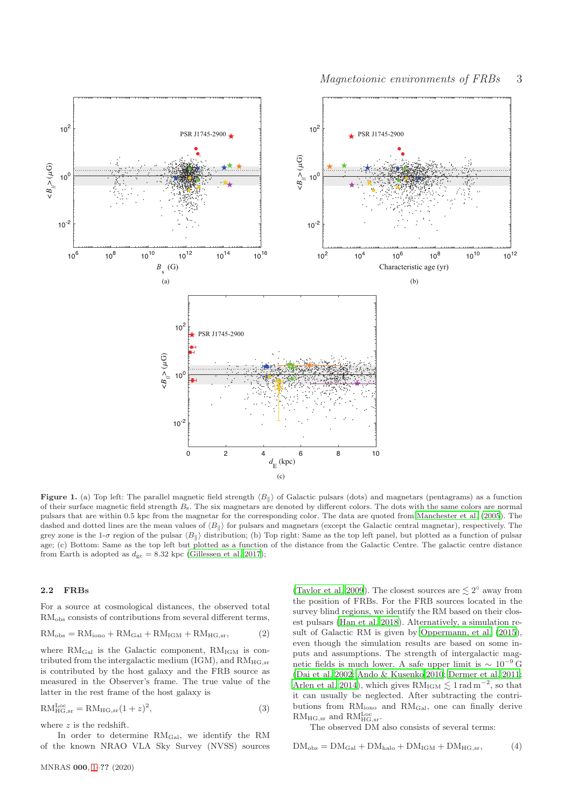

<span id="page-2-0"></span>Figure 1. (a) Top left: The parallel magnetic field strength  $\langle B_{\parallel} \rangle$  of Galactic pulsars (dots) and magnetars (pentagrams) as a function of their surface magnetic field strength Bs. The six magnetars are denoted by different colors. The dots with the same colors are normal pulsars that are within 0.5 kpc from the magnetar for the corresponding color. The data are quoted from [Manchester et al. \(2005](#page-6-16)). The dashed and dotted lines are the mean values of  $\langle B_{\parallel} \rangle$  for pulsars and magnetars (except the Galactic central magnetar), respectively. The grey zone is the 1- $\sigma$  region of the pulsar  $\langle B_{\parallel} \rangle$  distribution; (b) Top right: Same as the top left panel, but plotted as a function of pulsar age; (c) Bottom: Same as the top left but plotted as a function of the distance from the Galactic Centre. The galactic centre distance from Earth is adopted as  $d_{gc} = 8.32$  kpc [\(Gillessen et al. 2017\)](#page-6-22);

#### 2.2 FRBs

For a source at cosmological distances, the observed total RM<sub>obs</sub> consists of contributions from several different terms,

$$
RM_{obs} = RM_{iono} + RM_{Gal} + RM_{IGM} + RM_{HG,sr},
$$
 (2)

where  $RM_{Gal}$  is the Galactic component,  $RM_{IGM}$  is contributed from the intergalactic medium (IGM), and  $RM_{HG,sr}$ is contributed by the host galaxy and the FRB source as measured in the Observer's frame. The true value of the latter in the rest frame of the host galaxy is

$$
RM_{HG,sr}^{Loc} = RM_{HG,sr}(1+z)^2,
$$
\n(3)

where z is the redshift.

In order to determine RMGal, we identify the RM of the known NRAO VLA Sky Survey (NVSS) sources

[\(Taylor et al. 2009](#page-7-17)). The closest sources are  $\lesssim 2^{\circ}$  away from the position of FRBs. For the FRB sources located in the survey blind regions, we identify the RM based on their closest pulsars [\(Han et al. 2018](#page-6-15)). Alternatively, a simulation result of Galactic RM is given by [Oppermann, et al. \(2015](#page-7-18)), even though the simulation results are based on some inputs and assumptions. The strength of intergalactic magnetic fields is much lower. A safe upper limit is  $\sim 10^{-9}$  G [\(Dai et al. 2002](#page-6-23); [Ando & Kusenko 2010](#page-5-0); [Dermer et al. 2011;](#page-6-24) [Arlen et al. 2014](#page-5-1)), which gives  $RM_{IGM} \lesssim 1$  rad  $m^{-2}$ , so that it can usually be neglected. After subtracting the contributions from RMiono and RMGal, one can finally derive  $RM_{HG,sr}$  and  $RM_{HG,sr}^{Loc}$ .

<span id="page-2-1"></span>The observed DM also consists of several terms:

$$
DM_{obs} = DM_{Gal} + DM_{halo} + DM_{IGM} + DM_{HG,sr}, \tag{4}
$$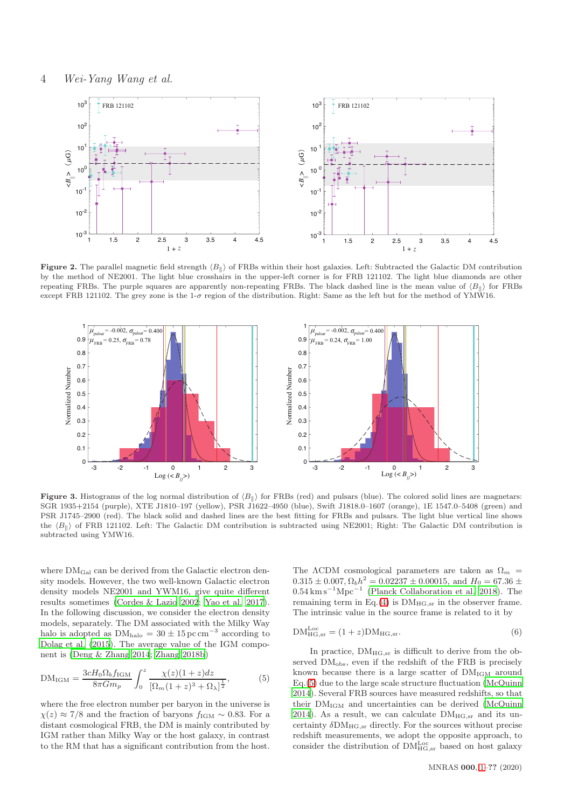

Figure 2. The parallel magnetic field strength  $\langle B_{\parallel} \rangle$  of FRBs within their host galaxies. Left: Subtracted the Galactic DM contribution by the method of NE2001. The light blue crosshairs in the upper-left corner is for FRB 121102. The light blue diamonds are other repeating FRBs. The purple squares are apparently non-repeating FRBs. The black dashed line is the mean value of  $\langle B_{\parallel} \rangle$  for FRBs except FRB 121102. The grey zone is the 1- $\sigma$  region of the distribution. Right: Same as the left but for the method of YMW16.



<span id="page-3-0"></span>Figure 3. Histograms of the log normal distribution of  $\langle B_{\parallel} \rangle$  for FRBs (red) and pulsars (blue). The colored solid lines are magnetars: SGR 1935+2154 (purple), XTE J1810–197 (yellow), PSR J1622–4950 (blue), Swift J1818.0–1607 (orange), 1E 1547.0–5408 (green) and PSR J1745–2900 (red). The black solid and dashed lines are the best fitting for FRBs and pulsars. The light blue vertical line shows the  $\langle B_{\parallel} \rangle$  of FRB 121102. Left: The Galactic DM contribution is subtracted using NE2001; Right: The Galactic DM contribution is subtracted using YMW16.

where  $\text{DM}_{\text{Gal}}$  can be derived from the Galactic electron density models. However, the two well-known Galactic electron density models NE2001 and YWM16, give quite different results sometimes [\(Cordes & Lazio 2002;](#page-6-21) [Yao et al. 2017](#page-7-14)). In the following discussion, we consider the electron density models, separately. The DM associated with the Milky Way halo is adopted as  $DM<sub>halo</sub> = 30 \pm 15 \,\text{pc cm}^{-3}$  according to [Dolag et al. \(2015](#page-6-25)). The average value of the IGM component is [\(Deng & Zhang 2014](#page-6-26); [Zhang 2018b](#page-7-19))

$$
DM_{IGM} = \frac{3cH_0\Omega_b f_{IGM}}{8\pi G m_p} \int_0^z \frac{\chi(z)(1+z)dz}{[\Omega_m(1+z)^3 + \Omega_\lambda]^{\frac{1}{2}}},
$$
(5)

where the free electron number per baryon in the universe is  $\chi(z) \approx 7/8$  and the fraction of baryons  $f_{\text{IGM}} \sim 0.83$ . For a distant cosmological FRB, the DM is mainly contributed by IGM rather than Milky Way or the host galaxy, in contrast to the RM that has a significant contribution from the host. The  $\Lambda$ CDM cosmological parameters are taken as  $\Omega_m$  =  $0.315 \pm 0.007$ ,  $\Omega_b h^2 = 0.02237 \pm 0.00015$ , and  $H_0 = 67.36 \pm 0.007$  $0.54 \text{ km s}^{-1} \text{Mpc}^{-1}$  [\(Planck Collaboration et al. 2018\)](#page-7-20). The remaining term in Eq.[\(4\)](#page-2-1) is  $DM_{HG,sr}$  in the observer frame. The intrinsic value in the source frame is related to it by

<span id="page-3-2"></span>
$$
DM_{HG,sr}^{Loc} = (1+z)DM_{HG,sr}.
$$
\n(6)

<span id="page-3-1"></span>In practice,  $DM_{HG,sr}$  is difficult to derive from the observed  $DM<sub>obs</sub>$ , even if the redshift of the FRB is precisely known because there is a large scatter of  $DM_{IGM}$  around Eq.[\(5\)](#page-3-1) due to the large scale structure fluctuation [\(McQuinn](#page-6-27) [2014](#page-6-27)). Several FRB sources have measured redshifts, so that their  $DM_{IGM}$  and uncertainties can be derived [\(McQuinn](#page-6-27) [2014](#page-6-27)). As a result, we can calculate  $DM_{HG,sr}$  and its uncertainty  $\delta\text{DM}_{\text{HG,sr}}$  directly. For the sources without precise redshift measurements, we adopt the opposite approach, to consider the distribution of  $\text{DM}^{\text{Loc}}_{\text{HG,sr}}$  based on host galaxy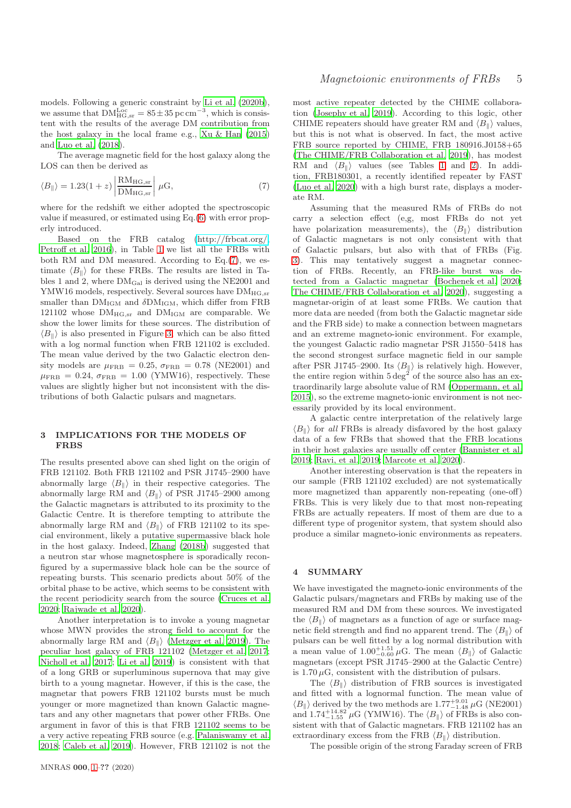models. Following a generic constraint by [Li et al. \(2020b](#page-6-28)), we assume that  $DM_{HG,sr}^{Loc} = 85 \pm 35 \,\text{pc cm}^{-3}$ , which is consistent with the results of the average DM contribution from the host galaxy in the local frame e.g., [Xu & Han \(2015\)](#page-7-21) and [Luo et al. \(2018](#page-6-29)).

The average magnetic field for the host galaxy along the LOS can then be derived as

<span id="page-4-0"></span>
$$
\langle B_{\parallel} \rangle = 1.23(1+z) \left| \frac{\text{RM}_{\text{HG,sr}}}{\text{DM}_{\text{HG,sr}}} \right| \mu\text{G},\tag{7}
$$

where for the redshift we either adopted the spectroscopic value if measured, or estimated using Eq.[\(6\)](#page-3-2) with error properly introduced.

Based on the FRB catalog [\(http://frbcat.org/,](http://frbcat.org/) [Petroff et al. 2016](#page-7-22)), in Table [1](#page-5-2) we list all the FRBs with both RM and DM measured. According to Eq.[\(7\)](#page-4-0), we estimate  $\langle B_{\parallel} \rangle$  for these FRBs. The results are listed in Tables 1 and 2, where  $DM_{Gal}$  is derived using the NE2001 and YMW16 models, respectively. Several sources have  $DM_{HG,sr}$ smaller than  $DM_{IGM}$  and  $\delta DM_{IGM}$ , which differ from FRB 121102 whose  $DM_{HG,sr}$  and  $DM_{IGM}$  are comparable. We show the lower limits for these sources. The distribution of  $\langle B_{\parallel} \rangle$  is also presented in Figure [3,](#page-3-0) which can be also fitted with a log normal function when FRB 121102 is excluded. The mean value derived by the two Galactic electron density models are  $\mu_{\text{FRB}} = 0.25$ ,  $\sigma_{\text{FRB}} = 0.78$  (NE2001) and  $\mu_{\text{FRB}} = 0.24$ ,  $\sigma_{\text{FRB}} = 1.00$  (YMW16), respectively. These values are slightly higher but not inconsistent with the distributions of both Galactic pulsars and magnetars.

## 3 IMPLICATIONS FOR THE MODELS OF FRBS

The results presented above can shed light on the origin of FRB 121102. Both FRB 121102 and PSR J1745–2900 have abnormally large  $\langle B_{\parallel} \rangle$  in their respective categories. The abnormally large RM and  $\langle B_{\parallel} \rangle$  of PSR J1745–2900 among the Galactic magnetars is attributed to its proximity to the Galactic Centre. It is therefore tempting to attribute the abnormally large RM and  $\langle B_{\parallel} \rangle$  of FRB 121102 to its special environment, likely a putative supermassive black hole in the host galaxy. Indeed, [Zhang \(2018b\)](#page-7-19) suggested that a neutron star whose magnetosphere is sporadically reconfigured by a supermassive black hole can be the source of repeating bursts. This scenario predicts about 50% of the orbital phase to be active, which seems to be consistent with the recent periodicity search from the source [\(Cruces et al.](#page-6-30) [2020](#page-6-30); [Rajwade et al. 2020](#page-7-23)).

Another interpretation is to invoke a young magnetar whose MWN provides the strong field to account for the abnormally large RM and  $\langle B_{\parallel} \rangle$  [\(Metzger et al. 2019](#page-7-6)). The peculiar host galaxy of FRB 121102 [\(Metzger et al. 2017;](#page-7-12) [Nicholl et al. 2017;](#page-7-24) [Li et al. 2019](#page-6-31)) is consistent with that of a long GRB or superluminous supernova that may give birth to a young magnetar. However, if this is the case, the magnetar that powers FRB 121102 bursts must be much younger or more magnetized than known Galactic magnetars and any other magnetars that power other FRBs. One argument in favor of this is that FRB 121102 seems to be a very active repeating FRB source (e.g. [Palaniswamy et al.](#page-7-25) [2018](#page-7-25); [Caleb et al. 2019\)](#page-6-32). However, FRB 121102 is not the most active repeater detected by the CHIME collaboration [\(Josephy et al. 2019](#page-6-33)). According to this logic, other CHIME repeaters should have greater RM and  $\langle B_{\parallel} \rangle$  values, but this is not what is observed. In fact, the most active FRB source reported by CHIME, FRB 180916.J0158+65 [\(The CHIME/FRB Collaboration et al. 2019](#page-7-4)), has modest RM and  $\langle B_{\parallel} \rangle$  values (see Tables [1](#page-5-2) and [2\)](#page-6-34). In addition, FRB180301, a recently identified repeater by FAST [\(Luo et al. 2020](#page-6-6)) with a high burst rate, displays a moderate RM.

Assuming that the measured RMs of FRBs do not carry a selection effect (e,g, most FRBs do not yet have polarization measurements), the  $\langle B_{\parallel} \rangle$  distribution of Galactic magnetars is not only consistent with that of Galactic pulsars, but also with that of FRBs (Fig. [3\)](#page-3-0). This may tentatively suggest a magnetar connection of FRBs. Recently, an FRB-like burst was detected from a Galactic magnetar [\(Bochenek et al. 2020;](#page-6-8) [The CHIME/FRB Collaboration et al. 2020](#page-6-9)), suggesting a magnetar-origin of at least some FRBs. We caution that more data are needed (from both the Galactic magnetar side and the FRB side) to make a connection between magnetars and an extreme magneto-ionic environment. For example, the youngest Galactic radio magnetar PSR J1550–5418 has the second strongest surface magnetic field in our sample after PSR J1745–2900. Its  $\langle B_{\parallel} \rangle$  is relatively high. However, the entire region within  $5 \text{ deg}^2$  of the source also has an extraordinarily large absolute value of RM [\(Oppermann, et al.](#page-7-18) [2015](#page-7-18)), so the extreme magneto-ionic environment is not necessarily provided by its local environment.

A galactic centre interpretation of the relatively large  $\langle B_{\parallel} \rangle$  for all FRBs is already disfavored by the host galaxy data of a few FRBs that showed that the FRB locations in their host galaxies are usually off center [\(Bannister et al.](#page-6-2) [2019](#page-6-2); [Ravi, et al. 2019](#page-7-26); [Marcote et al. 2020\)](#page-6-3).

Another interesting observation is that the repeaters in our sample (FRB 121102 excluded) are not systematically more magnetized than apparently non-repeating (one-off) FRBs. This is very likely due to that most non-repeating FRBs are actually repeaters. If most of them are due to a different type of progenitor system, that system should also produce a similar magneto-ionic environments as repeaters.

#### 4 SUMMARY

We have investigated the magneto-ionic environments of the Galactic pulsars/magnetars and FRBs by making use of the measured RM and DM from these sources. We investigated the  $\langle B_{\parallel} \rangle$  of magnetars as a function of age or surface magnetic field strength and find no apparent trend. The  $\langle B_{\parallel} \rangle$  of pulsars can be well fitted by a log normal distribution with a mean value of  $1.00^{+1.51}_{-0.60}$   $\mu$ G. The mean  $\langle B_{\parallel} \rangle$  of Galactic magnetars (except PSR J1745–2900 at the Galactic Centre) is 1.70  $\mu$ G, consistent with the distribution of pulsars.

The  $\langle B_{\parallel} \rangle$  distribution of FRB sources is investigated and fitted with a lognormal function. The mean value of  $\langle B_{\parallel} \rangle$  derived by the two methods are 1.77<sup>+9.01</sup>  $\mu$ G (NE2001) and  $1.74^{+14.82}_{-1.55}$   $\mu$ G (YMW16). The  $\langle B_{\parallel} \rangle$  of FRBs is also consistent with that of Galactic magnetars. FRB 121102 has an extraordinary excess from the FRB  $\langle B_{\parallel} \rangle$  distribution.

The possible origin of the strong Faraday screen of FRB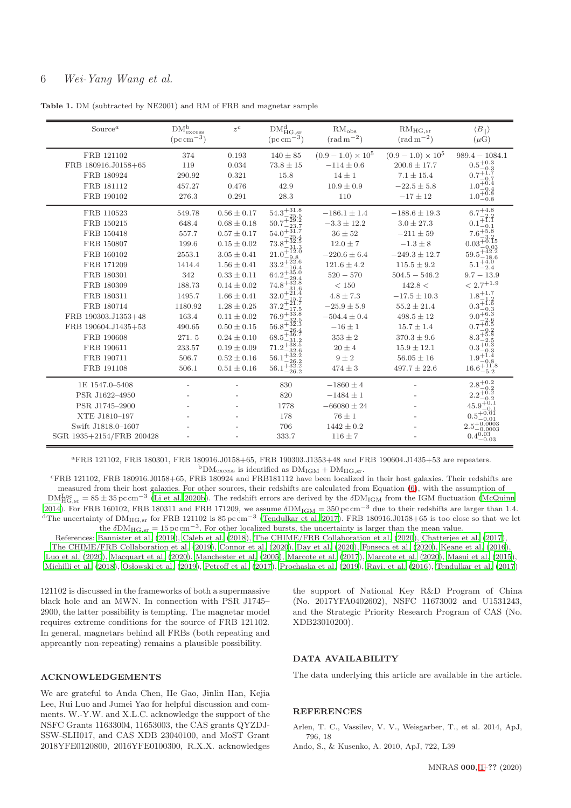# 6 Wei-Yang Wang et al.

Table 1. DM (subtracted by NE2001) and RM of FRB and magnetar sample

<span id="page-5-2"></span>

| Source <sup><math>a</math></sup>                                                                                                                                                                                                               | $\rm DM_{excess}^{b}$<br>$(\text{pc}\,\text{cm}^{-3})$                                                                                              | $z^c$                                                                                                                                                                                                                                                                                                    | $DM_{HG,sr}^d$<br>$(\text{pc}\,\text{cm}^{-3})$                                                                                                                                                                                         | $\mathrm{RM}_\mathrm{obs}$<br>$(\text{rad} \, \text{m}^{-2})$                                                                                                                                                                                                   | $RM_{HG,sr}$<br>$(\text{rad} \,\text{m}^{-2})$                                                                                                                                                                                                                                                  | $\langle B_{\parallel} \rangle$<br>$(\mu G)$                                                                                                                                                                                                |
|------------------------------------------------------------------------------------------------------------------------------------------------------------------------------------------------------------------------------------------------|-----------------------------------------------------------------------------------------------------------------------------------------------------|----------------------------------------------------------------------------------------------------------------------------------------------------------------------------------------------------------------------------------------------------------------------------------------------------------|-----------------------------------------------------------------------------------------------------------------------------------------------------------------------------------------------------------------------------------------|-----------------------------------------------------------------------------------------------------------------------------------------------------------------------------------------------------------------------------------------------------------------|-------------------------------------------------------------------------------------------------------------------------------------------------------------------------------------------------------------------------------------------------------------------------------------------------|---------------------------------------------------------------------------------------------------------------------------------------------------------------------------------------------------------------------------------------------|
| FRB 121102<br>FRB 180916.J0158+65<br>FRB 180924<br>FRB 181112<br>FRB 190102                                                                                                                                                                    | 374<br>119<br>290.92<br>457.27<br>276.3                                                                                                             | 0.193<br>0.034<br>0.321<br>0.476<br>0.291                                                                                                                                                                                                                                                                | $140 \pm 85$<br>$73.8 \pm 15$<br>15.8<br>42.9<br>28.3                                                                                                                                                                                   | $(0.9-1.0) \times 10^5$<br>$-114 \pm 0.6$<br>$14 \pm 1$<br>$10.9 \pm 0.9$<br>110                                                                                                                                                                                | $(0.9 - 1.0) \times 10^5$<br>$200.6 \pm 17.7$<br>$7.1\pm15.4$<br>$-22.5 \pm 5.8$<br>$-17 \pm 12$                                                                                                                                                                                                | $989.4 - 1084.1$<br>$0.5^{+0.3}_{-0.3}$<br>$0.7^{\circ}$<br>$1.0^{+0.4}$<br>1.0                                                                                                                                                             |
| FRB 110523<br>FRB 150215<br>FRB 150418<br>FRB 150807<br>FRB 160102<br>FRB 171209<br>FRB 180301<br>FRB 180309<br>FRB 180311<br>FRB 180714<br>FRB 190303.J1353+48<br>FRB 190604.J1435+53<br>FRB 190608<br>FRB 190611<br>FRB 190711<br>FRB 191108 | 549.78<br>648.4<br>557.7<br>199.6<br>2553.1<br>1414.4<br>342<br>188.73<br>1495.7<br>1180.92<br>163.4<br>490.65<br>271.5<br>233.57<br>506.7<br>506.1 | $0.56 \pm 0.17$<br>$0.68 \pm 0.18$<br>$0.57 \pm 0.17$<br>$0.15 \pm 0.02$<br>$3.05 \pm 0.41$<br>$1.56 \pm 0.41$<br>$0.33 \pm 0.11$<br>$0.14 \pm 0.02$<br>$1.66\pm0.41$<br>$1.28 \pm 0.25$<br>$0.11 \pm 0.02$<br>$0.50 \pm 0.15$<br>$0.24 \pm 0.10$<br>$0.19 \pm 0.09$<br>$0.52\pm0.16$<br>$0.51 \pm 0.16$ | $54.3^{+31.8}_{-25.5}$<br>50.7<br>$54.0^{+31.7}_{-2}$<br>73.8<br>21.0<br>$33.2^{+}$<br>$64.2^{+35.0}_{-22}$<br>74.8<br>32.0<br>37.<br>$76.9^{+33.8}_{-22}$<br>$56.8^{+}$<br>$68.5^{+36.7}_{-31.2}$<br>$71.2^{+}$<br>56.<br>56.1<br>26.2 | $-186.1 \pm 1.4$<br>$-3.3 \pm 12.2$<br>$36 \pm 52$<br>$12.0 \pm 7$<br>$-220.6 \pm 6.4$<br>$121.6 \pm 4.2$<br>$520 - 570$<br>< 150<br>$4.8 \pm 7.3$<br>$-25.9 \pm 5.9$<br>$-504.4 \pm 0.4$<br>$-16 \pm 1$<br>$353 \pm 2$<br>$20\pm4$<br>$9 \pm 2$<br>$474 \pm 3$ | $-188.6 \pm 19.3$<br>$3.0 \pm 27.3$<br>$-211 \pm 59$<br>$-1.3 \pm 8$<br>$-249.3 \pm 12.7$<br>$115.5 \pm 9.2$<br>$504.5 - 546.2$<br>142.8 <<br>$-17.5 \pm 10.3$<br>$55.2 \pm 21.4$<br>$498.5 \pm 12$<br>$15.7 \pm 1.4$<br>$370.3 \pm 9.6$<br>$15.9 \pm 12.1$<br>$56.05\pm16$<br>$497.7 \pm 22.6$ | $-0.8$<br>$6.7^{+4.8}$<br>0.1<br>7.6<br>0.03<br>59.5<br>18.6<br>$^{+4.0}_{-2.4}$<br>$9.7 - 13.9$<br>$<2.7^{\mathrm {+1.9}}$<br>$1.8^{+1.7}_{-1.2}$<br>$0.3^{+\bar{1}.\bar{6}}$<br>$9.0^{+6.3}$<br>0.7<br>$8.3^{+}$<br>$16.6^{+11.8}_{-5.2}$ |
| 1E 1547.0-5408<br>PSR J1622-4950<br>PSR J1745-2900<br>XTE J1810-197<br>Swift J1818.0-1607<br>SGR 1935+2154/FRB 200428                                                                                                                          |                                                                                                                                                     |                                                                                                                                                                                                                                                                                                          | 830<br>820<br>1778<br>178<br>706<br>333.7                                                                                                                                                                                               | $-1860 \pm 4$<br>$-1484 \pm 1$<br>$-66080 \pm 24$<br>$76 \pm 1$<br>$1442 \pm 0.2$<br>$116 \pm 7$                                                                                                                                                                |                                                                                                                                                                                                                                                                                                 | $2.8^{+0.2}_{-0.2}$<br>45.9<br>0.0003<br>$0.4^{0.03}$<br>$-0.03$                                                                                                                                                                            |

<sup>a</sup>FRB 121102, FRB 180301, FRB 180916.J0158+65, FRB 190303.J1353+48 and FRB 190604.J1435+53 are repeaters.  $^{\rm b}{\rm DM_{excess}}$  is identified as  ${\rm DM_{IGM}+DM_{HG,sr}}.$ 

<sup>c</sup>FRB 121102, FRB 180916.J0158+65, FRB 180924 and FRB181112 have been localized in their host galaxies. Their redshifts are measured from their host galaxies. For other sources, their redshifts are calculated from Equation [\(6\)](#page-3-2), with the assumption of  $\rm DM_{HG,sr}^{Loc} = 85 \pm 35 \, pc \, cm^{-3}$  [\(Li et al. 2020b](#page-6-28)). The redshift errors are derived by the  $\rm \delta DM_{IGM}$  from the IGM fluctuation [\(McQuinn](#page-6-27) [2014\)](#page-6-27). For FRB 160102, FRB 180311 and FRB 171209, we assume  $\delta\text{DM}_{\text{IGM}} = 350 \text{ pc cm}^{-3}$  due to their redshifts are larger than 1.4. <sup>d</sup>The uncertainty of  $\text{DM}_{\text{HG,sr}}$  for FRB 121102 is 85 pc cm<sup>-3</sup> [\(Tendulkar et al. 2017](#page-7-27)). FRB 180916.J0158+65 is too close so that we let the  $\delta\text{DM}_{\text{HG,sr}} = 15 \text{ pc cm}^{-3}$ . For other localized bursts, the uncertainty is larger than the mean value.

References: [Bannister et al. \(2019](#page-6-2)), [Caleb et al. \(2018](#page-6-35)), [The CHIME/FRB Collaboration et al. \(2020](#page-6-9)), [Chatterjee et al. \(2017](#page-6-1)), [The CHIME/FRB Collaboration et al. \(2019](#page-7-4)), [Connor et al. \(2020](#page-6-36)), [Day et al. \(2020\)](#page-6-37), [Fonseca et al. \(2020](#page-6-38)), [Keane et al. \(2016\)](#page-6-39), [Luo et al. \(2020](#page-6-6)), [Macquart et al. \(2020](#page-6-5)), [Manchester et al. \(2005\)](#page-6-16), [Marcote et al. \(2017](#page-6-4)), [Marcote et al. \(2020\)](#page-6-3), [Masui et](#page-6-40) al. [\(2015](#page-6-40)), [Michilli et al. \(2018](#page-7-3)), Osłowski et al. (2019), [Petroff et al. \(2017\)](#page-7-29), [Prochaska et al. \(2019](#page-7-1)), [Ravi, et al. \(2016](#page-7-30)), [Tendulkar et al. \(2017](#page-7-27))

121102 is discussed in the frameworks of both a supermassive black hole and an MWN. In connection with PSR J1745– 2900, the latter possibility is tempting. The magnetar model requires extreme conditions for the source of FRB 121102. In general, magnetars behind all FRBs (both repeating and appreantly non-repeating) remains a plausible possibility.

the support of National Key R&D Program of China (No. 2017YFA0402602), NSFC 11673002 and U1531243, and the Strategic Priority Research Program of CAS (No. XDB23010200).

## DATA AVAILABILITY

The data underlying this article are available in the article.

# ACKNOWLEDGEMENTS

We are grateful to Anda Chen, He Gao, Jinlin Han, Kejia Lee, Rui Luo and Jumei Yao for helpful discussion and comments. W.-Y.W. and X.L.C. acknowledge the support of the NSFC Grants 11633004, 11653003, the CAS grants QYZDJ-SSW-SLH017, and CAS XDB 23040100, and MoST Grant 2018YFE0120800, 2016YFE0100300, R.X.X. acknowledges

## **REFERENCES**

<span id="page-5-1"></span>Arlen, T. C., Vassilev, V. V., Weisgarber, T., et al. 2014, ApJ, 796, 18

<span id="page-5-0"></span>Ando, S., & Kusenko, A. 2010, ApJ, 722, L39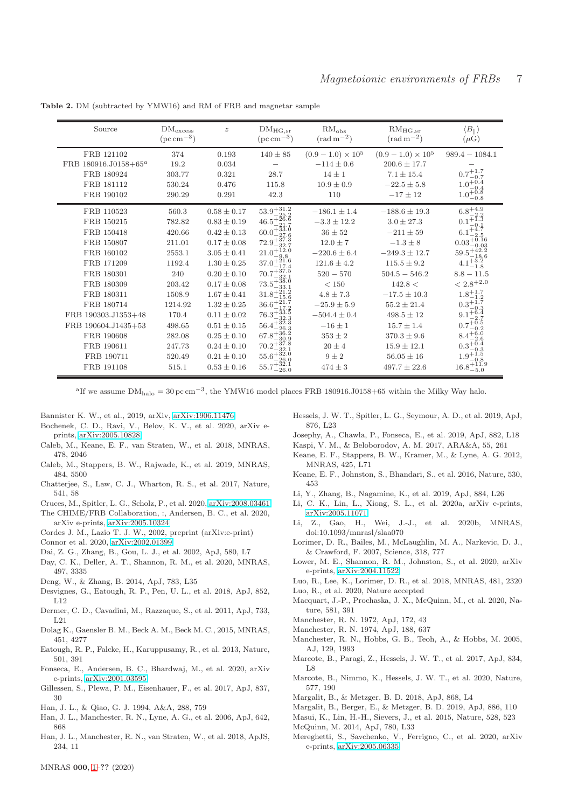Table 2. DM (subtracted by YMW16) and RM of FRB and magnetar sample

<span id="page-6-34"></span>

| Source                           | $\rm DM_{excess}$<br>$(\text{pc}\,\text{cm}^{-3})$ | $\boldsymbol{z}$ | $DM_{HG,sr}$<br>$(\text{pc}\,\text{cm}^{-3})$                                                                                                                              | RM <sub>obs</sub><br>$(\text{rad} \,\text{m}^{-2})$ | $RM_{HG,sr}$<br>$\rm (rad\,m^{-2})$ | $\langle B_{\parallel} \rangle$<br>$(\mu G)$                                               |
|----------------------------------|----------------------------------------------------|------------------|----------------------------------------------------------------------------------------------------------------------------------------------------------------------------|-----------------------------------------------------|-------------------------------------|--------------------------------------------------------------------------------------------|
| FRB 121102                       | 374                                                | 0.193            | $140 \pm 85$                                                                                                                                                               | $(0.9-1.0) \times 10^5$                             | $(0.9-1.0)\times10^5$               | $989.4 - 1084.1$                                                                           |
| FRB 180916.J0158+65 <sup>a</sup> | 19.2                                               | 0.034            |                                                                                                                                                                            | $-114 \pm 0.6$                                      | $200.6 \pm 17.7$                    |                                                                                            |
| FRB 180924                       | 303.77                                             | 0.321            | 28.7                                                                                                                                                                       | $14 \pm 1$                                          | $7.1 \pm 15.4$                      |                                                                                            |
| FRB 181112                       | 530.24                                             | 0.476            | 115.8                                                                                                                                                                      | $10.9 \pm 0.9$                                      | $-22.5 \pm 5.8$                     |                                                                                            |
| FRB 190102                       | 290.29                                             | 0.291            | 42.3                                                                                                                                                                       | 110                                                 | $-17 \pm 12$                        | $\begin{array}{c} 0.7^{+1.7}_{-0.7}\\ 1.0^{+0.4}_{-0.4}\\ 1.0^{+0.8}_{-0.8}\\ \end{array}$ |
| FRB 110523                       | 560.3                                              | $0.58 \pm 0.17$  | $\begin{array}{l} 53.9^{+31.2}_{-25.2} \\ 46.5^{+26.6}_{-21.7} \\ 60.0^{+33.0}_{-37.6} \\ 72.9^{+37.3}_{-32.7} \\ 72.9^{+37.3}_{-32.7} \\ 21.0^{+12.0}_{-9.8} \end{array}$ | $-186.1 \pm 1.4$                                    | $-188.6 \pm 19.3$                   | $\begin{array}{c} 6.8^{+4.9}_{-2.2} \\ 0.1^{+1.3}_{-0.1} \\ 6.1^{+4.7}_{-2.5} \end{array}$ |
| FRB 150215                       | 782.82                                             | $0.83 \pm 0.19$  |                                                                                                                                                                            | $-3.3 \pm 12.2$                                     | $3.0 \pm 27.3$                      |                                                                                            |
| FRB 150418                       | 420.66                                             | $0.42 \pm 0.13$  |                                                                                                                                                                            | $36 \pm 52$                                         | $-211 \pm 59$                       |                                                                                            |
| FRB 150807                       | 211.01                                             | $0.17 \pm 0.08$  |                                                                                                                                                                            | $12.0\pm7$                                          | $-1.3 \pm 8$                        | $0.03_{-0.03}^{+5.16}$                                                                     |
| FRB 160102                       | 2553.1                                             | $3.05 \pm 0.41$  |                                                                                                                                                                            | $-220.6 \pm 6.4$                                    | $-249.3 \pm 12.7$                   | $59.5^{+42.2}_{-18.6}$                                                                     |
| FRB 171209                       | 1192.4                                             | $1.30 \pm 0.25$  | $37.0^{+21.6}_{-17.4}$                                                                                                                                                     | $121.6 \pm 4.2$                                     | $115.5 \pm 9.2$                     | $4.1^{+3.2}_{-1.8}$                                                                        |
| FRB 180301                       | 240                                                | $0.20 \pm 0.10$  | $70.7^{+37.5}_{-32.1}$                                                                                                                                                     | $520 - 570$                                         | $504.5 - 546.2$                     | $8.8 - 11.5$                                                                               |
| FRB 180309                       | 203.42                                             | $0.17 \pm 0.08$  | $73.5_{-33.1}^{+36.0}_{-33.1}$<br>$31.8_{-15.6}^{+21.2}$                                                                                                                   | < 150                                               | 142.8 <                             | $< 2.8^{\mathrm {+2.0}}$                                                                   |
| FRB 180311                       | 1508.9                                             | $1.67 \pm 0.41$  |                                                                                                                                                                            | $4.8 \pm 7.3$                                       | $-17.5 \pm 10.3$                    | $\substack{1.8^{+1.7}_{-1.2} \\ 0.3^{+1.7}_{-0.3} \\ 9.1^{+6.4}_{-2.7}}$                   |
| FRB 180714                       | 1214.92                                            | $1.32 \pm 0.25$  | $36.6^{+21.7}_{-17.2}$                                                                                                                                                     | $-25.9 \pm 5.9$                                     | $55.2 \pm 21.4$                     |                                                                                            |
| FRB 190303.J1353+48              | 170.4                                              | $0.11 \pm 0.02$  | $76.3^{+33.5}_{-32.3}$                                                                                                                                                     | $-504.4 \pm 0.4$                                    | $498.5 \pm 12$                      |                                                                                            |
| FRB 190604.J1435+53              | 498.65                                             | $0.51 \pm 0.15$  | $56.4^{+32.3}_{-26.3}_{-26.3}_{-36.2}$<br>67.8 <sup>+36.2</sup>                                                                                                            | $-16 \pm 1$                                         | $15.7 \pm 1.4$                      | $0.7^{+0.5}_{-0.2}$                                                                        |
| FRB 190608                       | 282.08                                             | $0.25 \pm 0.10$  |                                                                                                                                                                            | $353 \pm 2$                                         | $370.3 \pm 9.6$                     | $8.4^{+6.0}_{-2.6}$                                                                        |
| FRB 190611                       | 247.73                                             | $0.24 \pm 0.10$  | $70.2^{+37.8}_{-22.1}$                                                                                                                                                     | $20\pm4$                                            | $15.9 \pm 12.1$                     | $0.3^{+0.4}_{-0.3}$                                                                        |
| FRB 190711                       | 520.49                                             | $0.21 \pm 0.10$  | $^{10.2}$ - 32.1<br>55.6 <sup>+32.0</sup>                                                                                                                                  | $9 \pm 2$                                           | $56.05 \pm 16$                      | $1.9^{+1.5}_{-0.8}$                                                                        |
| FRB 191108                       | 515.1                                              | $0.53 \pm 0.16$  | $55.7^{+52.1}_{-26.0}$                                                                                                                                                     | $474 \pm 3$                                         | $497.7 \pm 22.6$                    | $16.8^{+11.9}_{-5.0}$                                                                      |

<sup>a</sup>If we assume  $DM_{\text{halo}} = 30 \,\text{pc} \,\text{cm}^{-3}$ , the YMW16 model places FRB 180916.J0158+65 within the Milky Way halo.

- <span id="page-6-2"></span>Bannister K. W., et al., 2019, arXiv, [arXiv:1906.11476](http://arxiv.org/abs/1906.11476)
- <span id="page-6-8"></span>Bochenek, C. D., Ravi, V., Belov, K. V., et al. 2020, arXiv eprints, [arXiv:2005.10828](http://arxiv.org/abs/2005.10828)
- <span id="page-6-35"></span>Caleb, M., Keane, E. F., van Straten, W., et al. 2018, MNRAS, 478, 2046
- <span id="page-6-32"></span>Caleb, M., Stappers, B. W., Rajwade, K., et al. 2019, MNRAS, 484, 5500
- <span id="page-6-1"></span>Chatterjee, S., Law, C. J., Wharton, R. S., et al. 2017, Nature, 541, 58
- <span id="page-6-30"></span>Cruces, M., Spitler, L. G., Scholz, P., et al. 2020, [arXiv:2008.03461](http://arxiv.org/abs/2008.03461)
- <span id="page-6-9"></span>The CHIME/FRB Collaboration, :, Andersen, B. C., et al. 2020, arXiv e-prints, [arXiv:2005.10324](http://arxiv.org/abs/2005.10324)
- <span id="page-6-21"></span>Cordes J. M., Lazio T. J. W., 2002, preprint (arXiv:e-print)
- <span id="page-6-36"></span>Connor et al. 2020, [arXiv:2002.01399](http://arxiv.org/abs/2002.01399)
- <span id="page-6-23"></span>Dai, Z. G., Zhang, B., Gou, L. J., et al. 2002, ApJ, 580, L7
- <span id="page-6-37"></span>Day, C. K., Deller, A. T., Shannon, R. M., et al. 2020, MNRAS, 497, 3335
- <span id="page-6-26"></span>Deng, W., & Zhang, B. 2014, ApJ, 783, L35
- Desvignes, G., Eatough, R. P., Pen, U. L., et al. 2018, ApJ, 852,  $L12$
- <span id="page-6-24"></span>Dermer, C. D., Cavadini, M., Razzaque, S., et al. 2011, ApJ, 733, L21
- <span id="page-6-25"></span>Dolag K., Gaensler B. M., Beck A. M., Beck M. C., 2015, MNRAS, 451, 4277
- <span id="page-6-7"></span>Eatough, R. P., Falcke, H., Karuppusamy, R., et al. 2013, Nature, 501, 391
- <span id="page-6-38"></span>Fonseca, E., Andersen, B. C., Bhardwaj, M., et al. 2020, arXiv e-prints, [arXiv:2001.03595](http://arxiv.org/abs/2001.03595)
- <span id="page-6-22"></span>Gillessen, S., Plewa, P. M., Eisenhauer, F., et al. 2017, ApJ, 837, 30
- <span id="page-6-17"></span>Han, J. L., & Qiao, G. J. 1994, A&A, 288, 759
- <span id="page-6-14"></span>Han, J. L., Manchester, R. N., Lyne, A. G., et al. 2006, ApJ, 642, 868
- <span id="page-6-15"></span>Han, J. L., Manchester, R. N., van Straten, W., et al. 2018, ApJS, 234, 11
- Hessels, J. W. T., Spitler, L. G., Seymour, A. D., et al. 2019, ApJ, 876, L23
- <span id="page-6-33"></span>Josephy, A., Chawla, P., Fonseca, E., et al. 2019, ApJ, 882, L18
- <span id="page-6-20"></span>Kaspi, V. M., & Beloborodov, A. M. 2017, ARA&A, 55, 261
- Keane, E. F., Stappers, B. W., Kramer, M., & Lyne, A. G. 2012, MNRAS, 425, L71
- <span id="page-6-39"></span>Keane, E. F., Johnston, S., Bhandari, S., et al. 2016, Nature, 530, 453
- <span id="page-6-31"></span>Li, Y., Zhang, B., Nagamine, K., et al. 2019, ApJ, 884, L26
- <span id="page-6-10"></span>Li, C. K., Lin, L., Xiong, S. L., et al. 2020a, arXiv e-prints, [arXiv:2005.11071](http://arxiv.org/abs/2005.11071)
- <span id="page-6-28"></span>Li, Z., Gao, H., Wei, J.-J., et al. 2020b, MNRAS, doi:10.1093/mnrasl/slaa070
- <span id="page-6-0"></span>Lorimer, D. R., Bailes, M., McLaughlin, M. A., Narkevic, D. J., & Crawford, F. 2007, Science, 318, 777
- <span id="page-6-19"></span>Lower, M. E., Shannon, R. M., Johnston, S., et al. 2020, arXiv e-prints, [arXiv:2004.11522](http://arxiv.org/abs/2004.11522)
- <span id="page-6-29"></span>Luo, R., Lee, K., Lorimer, D. R., et al. 2018, MNRAS, 481, 2320 Luo, R., et al. 2020, Nature accepted
- <span id="page-6-6"></span>
- <span id="page-6-5"></span>Macquart, J.-P., Prochaska, J. X., McQuinn, M., et al. 2020, Nature, 581, 391
- <span id="page-6-12"></span>Manchester, R. N. 1972, ApJ, 172, 43
- <span id="page-6-13"></span>Manchester, R. N. 1974, ApJ, 188, 637
- <span id="page-6-16"></span>Manchester, R. N., Hobbs, G. B., Teoh, A., & Hobbs, M. 2005, AJ, 129, 1993
- <span id="page-6-4"></span>Marcote, B., Paragi, Z., Hessels, J. W. T., et al. 2017, ApJ, 834, L8
- <span id="page-6-3"></span>Marcote, B., Nimmo, K., Hessels, J. W. T., et al. 2020, Nature, 577, 190
- <span id="page-6-18"></span>Margalit, B., & Metzger, B. D. 2018, ApJ, 868, L4
- Margalit, B., Berger, E., & Metzger, B. D. 2019, ApJ, 886, 110
- <span id="page-6-40"></span>Masui, K., Lin, H.-H., Sievers, J., et al. 2015, Nature, 528, 523
- <span id="page-6-27"></span>McQuinn, M. 2014, ApJ, 780, L33
- <span id="page-6-11"></span>Mereghetti, S., Savchenko, V., Ferrigno, C., et al. 2020, arXiv e-prints, [arXiv:2005.06335](http://arxiv.org/abs/2005.06335)